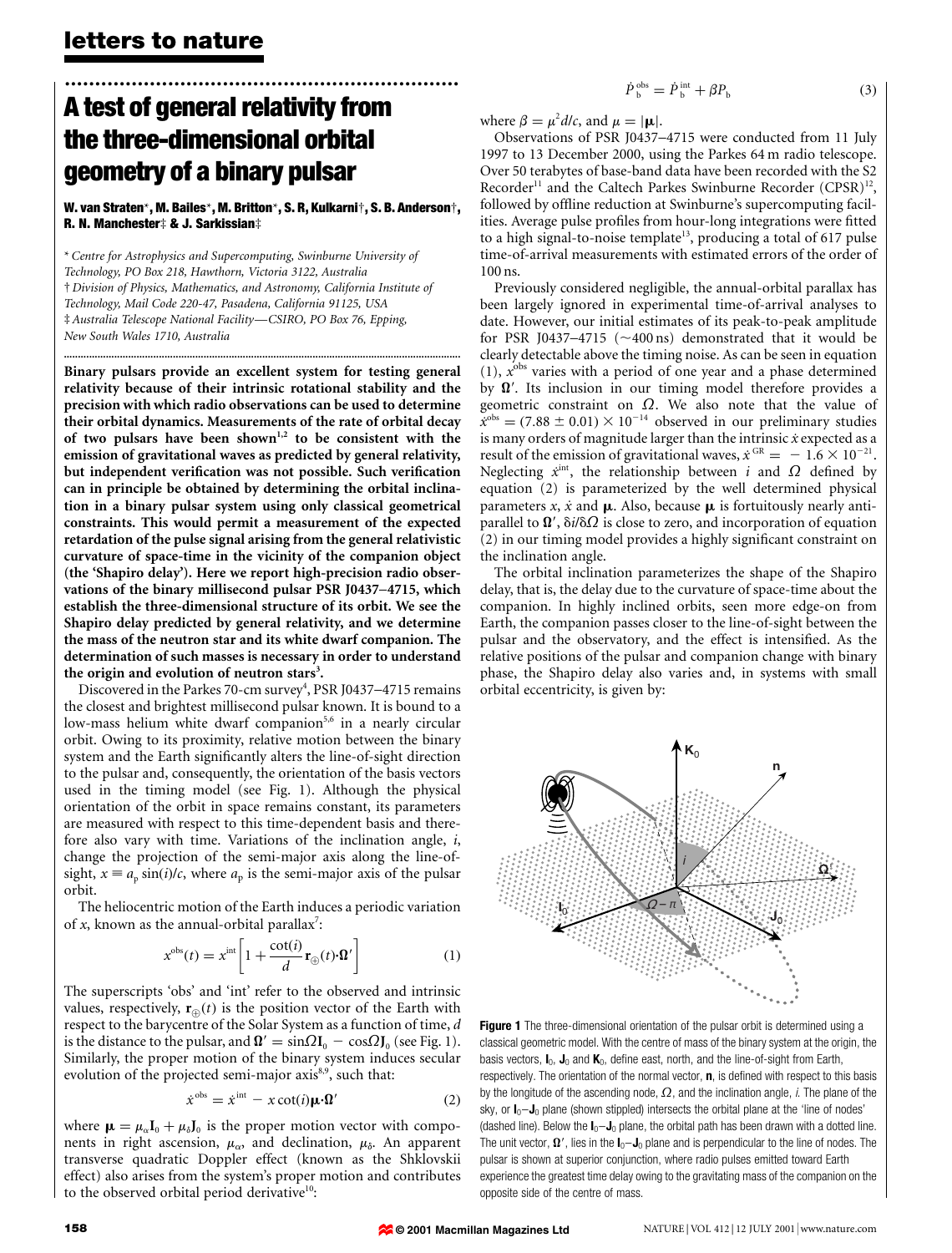## $\dot{P}_{\rm b}^{\rm obs} = \dot{P}_{\rm b}^{\rm int} + \beta P_{\rm b}$  (3)

# ................................................................. A test of general relativity from the three-dimensional orbital geometry of a binary pulsar

## W. van Straten\*, M. Bailes\*, M. Britton\*, S. R, Kulkarni², S. B. Anderson², R. N. Manchester‡ & J. Sarkissian‡

\* Centre for Astrophysics and Supercomputing, Swinburne University of Technology, PO Box 218, Hawthorn, Victoria 3122, Australia ² Division of Physics, Mathematics, and Astronomy, California Institute of Technology, Mail Code 220-47, Pasadena, California 91125, USA  $\ddagger$  Australia Telescope National Facility—CSIRO, PO Box 76, Epping, New South Wales 1710, Australia

..............................................................................................................................................

Binary pulsars provide an excellent system for testing general relativity because of their intrinsic rotational stability and the precision with which radio observations can be used to determine their orbital dynamics. Measurements of the rate of orbital decay of two pulsars have been shown<sup>1,2</sup> to be consistent with the emission of gravitational waves as predicted by general relativity, but independent verification was not possible. Such verification can in principle be obtained by determining the orbital inclination in a binary pulsar system using only classical geometrical constraints. This would permit a measurement of the expected retardation of the pulse signal arising from the general relativistic curvature of space-time in the vicinity of the companion object (the `Shapiro delay'). Here we report high-precision radio observations of the binary millisecond pulsar PSR J0437-4715, which establish the three-dimensional structure of its orbit. We see the Shapiro delay predicted by general relativity, and we determine the mass of the neutron star and its white dwarf companion. The determination of such masses is necessary in order to understand the origin and evolution of neutron stars<sup>3</sup>.

Discovered in the Parkes 70-cm survey<sup>4</sup>, PSR J0437-4715 remains the closest and brightest millisecond pulsar known. It is bound to a low-mass helium white dwarf companion<sup>5,6</sup> in a nearly circular orbit. Owing to its proximity, relative motion between the binary system and the Earth significantly alters the line-of-sight direction to the pulsar and, consequently, the orientation of the basis vectors used in the timing model (see Fig. 1). Although the physical orientation of the orbit in space remains constant, its parameters are measured with respect to this time-dependent basis and therefore also vary with time. Variations of the inclination angle, i, change the projection of the semi-major axis along the line-ofsight,  $x \equiv a_p \sin(i)/c$ , where  $a_p$  is the semi-major axis of the pulsar orbit.

The heliocentric motion of the Earth induces a periodic variation of  $x$ , known as the annual-orbital parallax<sup>7</sup>:

$$
x^{\text{obs}}(t) = x^{\text{int}} \left[ 1 + \frac{\cot(t)}{d} \mathbf{r}_{\oplus}(t) \cdot \mathbf{\Omega}' \right] \tag{1}
$$

The superscripts 'obs' and 'int' refer to the observed and intrinsic values, respectively,  $\mathbf{r}_{\theta}(t)$  is the position vector of the Earth with respect to the barycentre of the Solar System as a function of time, d is the distance to the pulsar, and  $\mathbf{\Omega}' = \sin\Omega \mathbf{I}_0 - \cos\Omega \mathbf{J}_0$  (see Fig. 1). Similarly, the proper motion of the binary system induces secular evolution of the projected semi-major axis<sup>8,9</sup>, such that:

$$
\dot{x}^{\text{obs}} = \dot{x}^{\text{int}} - x \cot(i)\mu \cdot \Omega' \tag{2}
$$

where  $\mu = \mu_{\alpha}I_0 + \mu_{\delta}J_0$  is the proper motion vector with components in right ascension,  $\mu_{\alpha}$ , and declination,  $\mu_{\delta}$ . An apparent transverse quadratic Doppler effect (known as the Shklovskii effect) also arises from the system's proper motion and contributes to the observed orbital period derivative<sup>10</sup>:

where 
$$
\beta = \mu^2 d/c
$$
, and  $\mu = |\mathbf{\mu}|$ .

Observations of PSR J0437-4715 were conducted from 11 July 1997 to 13 December 2000, using the Parkes 64 m radio telescope. Over 50 terabytes of base-band data have been recorded with the S2 Recorder<sup>11</sup> and the Caltech Parkes Swinburne Recorder  $(CPSR)^{12}$ , followed by offline reduction at Swinburne's supercomputing facilities. Average pulse profiles from hour-long integrations were fitted to a high signal-to-noise template<sup>13</sup>, producing a total of 617 pulse time-of-arrival measurements with estimated errors of the order of 100 ns.

Previously considered negligible, the annual-orbital parallax has been largely ignored in experimental time-of-arrival analyses to date. However, our initial estimates of its peak-to-peak amplitude for PSR J0437-4715 ( $\sim$ 400 ns) demonstrated that it would be clearly detectable above the timing noise. As can be seen in equation (1),  $x^{obs}$  varies with a period of one year and a phase determined by  $\Omega'$ . Its inclusion in our timing model therefore provides a geometric constraint on  $\Omega$ . We also note that the value of  $\dot{x}^{obs} = (7.88 \pm 0.01) \times 10^{-14}$  observed in our preliminary studies is many orders of magnitude larger than the intrinsic  $\dot{x}$  expected as a result of the emission of gravitational waves,  $\dot{x}$ <sup>GR</sup> = -1.6  $\times$  10<sup>-21</sup>. Neglecting  $\dot{x}^{\text{int}}$ , the relationship between i and  $\Omega$  defined by equation (2) is parameterized by the well determined physical parameters x, x and  $\mu$ . Also, because  $\mu$  is fortuitously nearly antiparallel to  $\Omega'$ ,  $\delta i/\delta \Omega$  is close to zero, and incorporation of equation (2) in our timing model provides a highly significant constraint on the inclination angle.

The orbital inclination parameterizes the shape of the Shapiro delay, that is, the delay due to the curvature of space-time about the companion. In highly inclined orbits, seen more edge-on from Earth, the companion passes closer to the line-of-sight between the pulsar and the observatory, and the effect is intensified. As the relative positions of the pulsar and companion change with binary phase, the Shapiro delay also varies and, in systems with small orbital eccentricity, is given by:



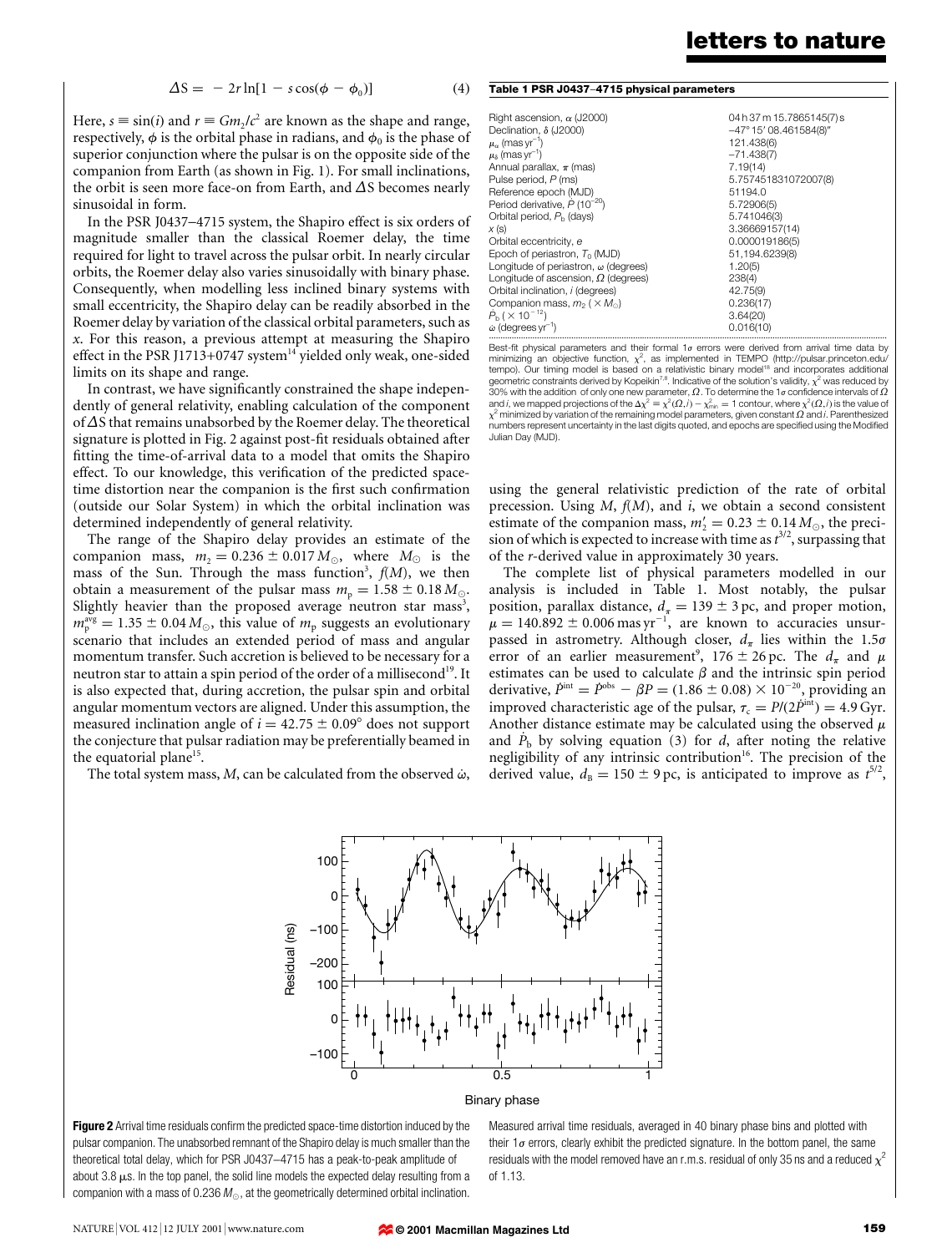$$
\Delta S = -2r \ln[1 - s \cos(\phi - \phi_0)] \tag{4}
$$

Here,  $s \equiv \sin(i)$  and  $r \equiv Gm_2/c^2$  are known as the shape and range, respectively,  $\phi$  is the orbital phase in radians, and  $\phi_0$  is the phase of superior conjunction where the pulsar is on the opposite side of the companion from Earth (as shown in Fig. 1). For small inclinations, the orbit is seen more face-on from Earth, and  $\Delta S$  becomes nearly sinusoidal in form.

In the PSR J0437-4715 system, the Shapiro effect is six orders of magnitude smaller than the classical Roemer delay, the time required for light to travel across the pulsar orbit. In nearly circular orbits, the Roemer delay also varies sinusoidally with binary phase. Consequently, when modelling less inclined binary systems with small eccentricity, the Shapiro delay can be readily absorbed in the Roemer delay by variation of the classical orbital parameters, such as x. For this reason, a previous attempt at measuring the Shapiro effect in the PSR J1713+0747 system $14$  yielded only weak, one-sided limits on its shape and range.

In contrast, we have significantly constrained the shape independently of general relativity, enabling calculation of the component of  $\Delta$ S that remains unabsorbed by the Roemer delay. The theoretical signature is plotted in Fig. 2 against post-fit residuals obtained after fitting the time-of-arrival data to a model that omits the Shapiro effect. To our knowledge, this verification of the predicted spacetime distortion near the companion is the first such confirmation (outside our Solar System) in which the orbital inclination was determined independently of general relativity.

The range of the Shapiro delay provides an estimate of the companion mass,  $m_2 = 0.236 \pm 0.017 M_{\odot}$ , where  $M_{\odot}$  is the mass of the Sun. Through the mass function<sup>3</sup>,  $f(M)$ , we then obtain a measurement of the pulsar mass  $m_p = 1.58 \pm 0.18 M_{\odot}$ . Slightly heavier than the proposed average neutron star mass<sup>3</sup>,  $m_{\rm p}^{\rm avg} = 1.35 \pm 0.04 \, M_{\odot}$ , this value of  $m_{\rm p}$  suggests an evolutionary scenario that includes an extended period of mass and angular momentum transfer. Such accretion is believed to be necessary for a neutron star to attain a spin period of the order of a millisecond<sup>19</sup>. It is also expected that, during accretion, the pulsar spin and orbital angular momentum vectors are aligned. Under this assumption, the measured inclination angle of  $i = 42.75 \pm 0.09^{\circ}$  does not support the conjecture that pulsar radiation may be preferentially beamed in the equatorial plane<sup>15</sup>.

The total system mass,  $M$ , can be calculated from the observed  $\dot{\omega}$ ,

|  |  |  |  |  | Table 1 PSR J0437-4715 physical parameters |
|--|--|--|--|--|--------------------------------------------|
|--|--|--|--|--|--------------------------------------------|

| Right ascension, $\alpha$ (J2000)                 | 04h37m15.7865145(7)s                                                                                  |  |  |
|---------------------------------------------------|-------------------------------------------------------------------------------------------------------|--|--|
| Declination, δ (J2000)                            | $-47^{\circ}$ 15' 08.461584(8)"                                                                       |  |  |
| $\mu_\alpha$ (mas yr <sup>-1</sup> )              | 121.438(6)                                                                                            |  |  |
| $\mu_{\delta}$ (mas yr <sup>-1</sup> )            | $-71.438(7)$                                                                                          |  |  |
| Annual parallax, $\pi$ (mas)                      | 7.19(14)                                                                                              |  |  |
| Pulse period, P (ms)                              | 5.757451831072007(8)                                                                                  |  |  |
| Reference epoch (MJD)                             | 51194.0                                                                                               |  |  |
| Period derivative, $\dot{P}$ (10 <sup>-20</sup> ) | 5.72906(5)                                                                                            |  |  |
| Orbital period, P <sub>h</sub> (days)             | 5.741046(3)                                                                                           |  |  |
| x (s)                                             | 3.36669157(14)                                                                                        |  |  |
| Orbital eccentricity, e                           | 0.000019186(5)                                                                                        |  |  |
| Epoch of periastron, $T_0$ (MJD)                  | 51,194.6239(8)                                                                                        |  |  |
| Longitude of periastron, $\omega$ (degrees)       | 1.20(5)                                                                                               |  |  |
| Longitude of ascension, $\Omega$ (degrees)        | 238(4)                                                                                                |  |  |
| Orbital inclination, i (degrees)                  | 42.75(9)                                                                                              |  |  |
| Companion mass, $m_2$ ( $\times$ $M_{\odot}$ )    | 0.236(17)                                                                                             |  |  |
| $\dot{P}_{\rm b}$ ( $\times$ 10 <sup>-12</sup> )  | 3.64(20)                                                                                              |  |  |
| $\dot{\omega}$ (degrees yr $^{-1}$ )              | 0.016(10)                                                                                             |  |  |
|                                                   | Best-fit physical parameters and their formal $1\sigma$ errors were derived from arrival time data by |  |  |

minimizing an objective function,  $\chi^2$ , as implemented in TEMPO (http://pulsar.princeton.edu/ tempo). Our timing model is based on a relativistic binary model<sup>18</sup> and incorporates additional<br>geometric constraints derived by Kopeikin<sup>7,8</sup>. Indicative of the solution's validity,  $\chi^2$  was reduced by 30% with the addition of only one new parameter,  $\Omega$ . To determine the 1 $\sigma$  confidence intervals of  $\Omega$ and *i*, we mapped projections of the  $\Delta \chi^2 \equiv \chi^2(\Omega, \dot{\theta}) - \chi^2_{\rm min} = 1$  contour, where  $\chi^2(\Omega, \dot{\theta})$  is the value of<br> $\chi^2$  minimized by variation of the remaining model parameters, given constant  $\Omega$  and  $\dot{\theta}$ . Par numbers represent uncertainty in the last digits quoted, and epochs are specified using the Modified Julian Day (MJD).

using the general relativistic prediction of the rate of orbital precession. Using  $M$ ,  $f(M)$ , and  $i$ , we obtain a second consistent estimate of the companion mass,  $m'_2 = 0.23 \pm 0.14 M_{\odot}$ , the precision of which is expected to increase with time as  $t^{3/2}$ , surpassing that of the r-derived value in approximately 30 years.

The complete list of physical parameters modelled in our analysis is included in Table 1. Most notably, the pulsar position, parallax distance,  $d_{\pi} = 139 \pm 3$  pc, and proper motion,  $\mu = 140.892 \pm 0.006$  mas yr<sup>-1</sup>, are known to accuracies unsurpassed in astrometry. Although closer,  $d_{\pi}$  lies within the 1.5 $\sigma$ error of an earlier measurement<sup>9</sup>,  $176 \pm 26$  pc. The  $d_{\pi}$  and  $\mu$ estimates can be used to calculate  $\beta$  and the intrinsic spin period derivative,  $\dot{P}^{\text{int}} = \dot{P}^{\text{obs}} - \beta P = (1.86 \pm 0.08) \times 10^{-20}$ , providing an improved characteristic age of the pulsar,  $\tau_c = P/(2\dot{P}^{\text{int}}) = 4.9 \text{ Gyr}.$ Another distance estimate may be calculated using the observed  $\mu$ and  $\dot{P}_b$  by solving equation (3) for d, after noting the relative negligibility of any intrinsic contribution<sup>16</sup>. The precision of the derived value,  $d_{\text{B}} = 150 \pm 9 \,\text{pc}$ , is anticipated to improve as  $t^{5/2}$ ,



### Binary phase

Figure 2 Arrival time residuals confirm the predicted space-time distortion induced by the pulsar companion. The unabsorbed remnant of the Shapiro delay is much smaller than the theoretical total delay, which for PSR J0437-4715 has a peak-to-peak amplitude of about 3.8  $\mu$ s. In the top panel, the solid line models the expected delay resulting from a companion with a mass of 0.236  $M_{\odot}$ , at the geometrically determined orbital inclination.

Measured arrival time residuals, averaged in 40 binary phase bins and plotted with their  $1\sigma$  errors, clearly exhibit the predicted signature. In the bottom panel, the same residuals with the model removed have an r.m.s. residual of only 35 ns and a reduced  $\chi^2$ of 1.13.